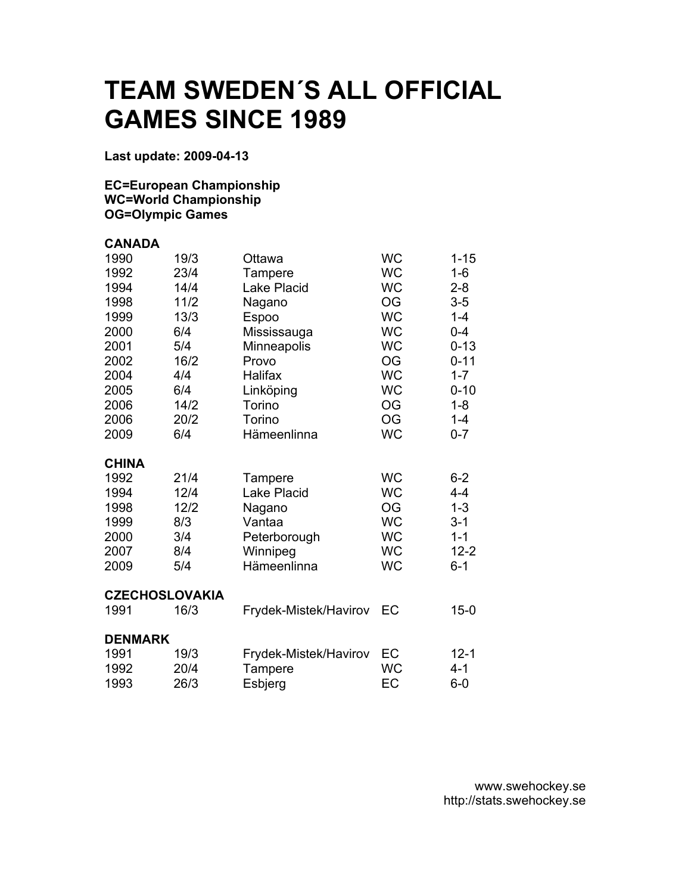## **TEAM SWEDEN´S ALL OFFICIAL GAMES SINCE 1989**

**Last update: 2009-04-13** 

## **EC=European Championship WC=World Championship OG=Olympic Games**

| <b>CANADA</b>         |      |                       |           |          |
|-----------------------|------|-----------------------|-----------|----------|
| 1990                  | 19/3 | Ottawa                | <b>WC</b> | $1 - 15$ |
| 1992                  | 23/4 | Tampere               | <b>WC</b> | $1 - 6$  |
| 1994                  | 14/4 | Lake Placid           | <b>WC</b> | $2 - 8$  |
| 1998                  | 11/2 | Nagano                | <b>OG</b> | $3 - 5$  |
| 1999                  | 13/3 | <b>Espoo</b>          | <b>WC</b> | $1 - 4$  |
| 2000                  | 6/4  | Mississauga           | <b>WC</b> | $0 - 4$  |
| 2001                  | 5/4  | Minneapolis           | <b>WC</b> | $0 - 13$ |
| 2002                  | 16/2 | Provo                 | <b>OG</b> | $0 - 11$ |
| 2004                  | 4/4  | Halifax               | <b>WC</b> | $1 - 7$  |
| 2005                  | 6/4  | Linköping             | <b>WC</b> | $0 - 10$ |
| 2006                  | 14/2 | Torino                | <b>OG</b> | $1 - 8$  |
| 2006                  | 20/2 | Torino                | <b>OG</b> | $1 - 4$  |
| 2009                  | 6/4  | Hämeenlinna           | <b>WC</b> | $0 - 7$  |
| <b>CHINA</b>          |      |                       |           |          |
| 1992                  | 21/4 | Tampere               | <b>WC</b> | $6 - 2$  |
| 1994                  | 12/4 | <b>Lake Placid</b>    | <b>WC</b> | $4 - 4$  |
| 1998                  | 12/2 | Nagano                | <b>OG</b> | $1 - 3$  |
| 1999                  | 8/3  | Vantaa                | <b>WC</b> | $3 - 1$  |
| 2000                  | 3/4  | Peterborough          | <b>WC</b> | $1 - 1$  |
| 2007                  | 8/4  | Winnipeg              | <b>WC</b> | $12 - 2$ |
| 2009                  | 5/4  | Hämeenlinna           | <b>WC</b> | $6 - 1$  |
| <b>CZECHOSLOVAKIA</b> |      |                       |           |          |
| 1991                  | 16/3 | Frydek-Mistek/Havirov | EC        | $15 - 0$ |
| <b>DENMARK</b>        |      |                       |           |          |
| 1991                  | 19/3 | Frydek-Mistek/Havirov | EC        | $12 - 1$ |
| 1992                  | 20/4 | Tampere               | <b>WC</b> | $4 - 1$  |
| 1993                  | 26/3 | Esbjerg               | EC        | $6-0$    |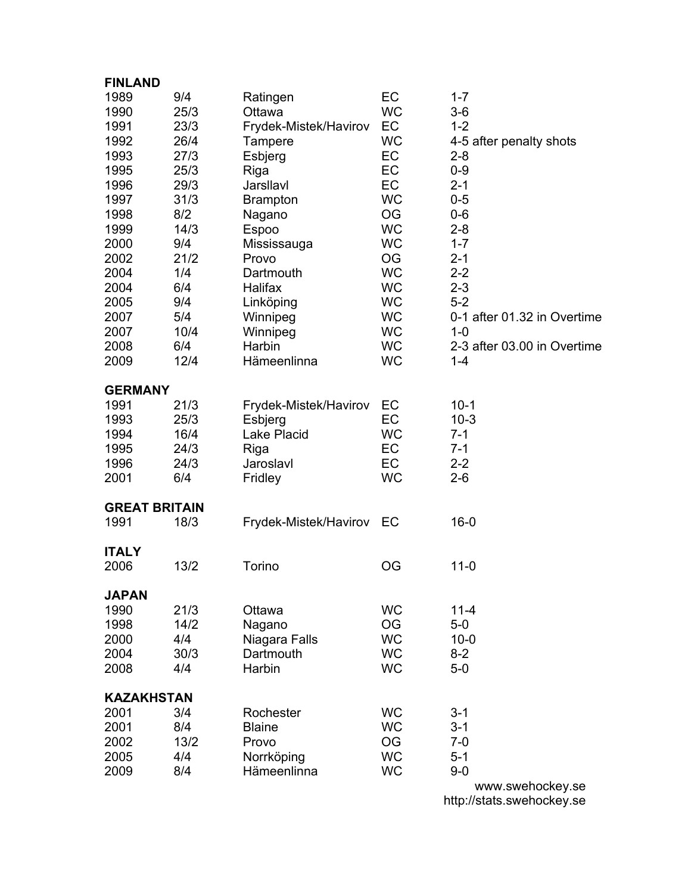| <b>FINLAND</b>       |      |                       |                 |                             |
|----------------------|------|-----------------------|-----------------|-----------------------------|
| 1989                 | 9/4  | Ratingen              | EC              | $1 - 7$                     |
| 1990                 | 25/3 | Ottawa                | <b>WC</b>       | $3-6$                       |
| 1991                 | 23/3 | Frydek-Mistek/Havirov | EC              | $1 - 2$                     |
| 1992                 | 26/4 | Tampere               | <b>WC</b>       | 4-5 after penalty shots     |
| 1993                 | 27/3 | Esbjerg               | EC              | $2 - 8$                     |
| 1995                 | 25/3 | Riga                  | EC              | $0 - 9$                     |
| 1996                 | 29/3 | Jarsllavl             | EC              | $2 - 1$                     |
| 1997                 | 31/3 |                       | <b>WC</b>       | $0 - 5$                     |
|                      | 8/2  | <b>Brampton</b>       |                 |                             |
| 1998                 |      | Nagano                | OG              | $0-6$                       |
| 1999                 | 14/3 | Espoo                 | <b>WC</b>       | $2 - 8$                     |
| 2000                 | 9/4  | Mississauga           | <b>WC</b>       | $1 - 7$                     |
| 2002                 | 21/2 | Provo                 | OG              | $2 - 1$                     |
| 2004                 | 1/4  | Dartmouth             | <b>WC</b>       | $2 - 2$                     |
| 2004                 | 6/4  | Halifax               | <b>WC</b>       | $2 - 3$                     |
| 2005                 | 9/4  | Linköping             | <b>WC</b>       | $5-2$                       |
| 2007                 | 5/4  | Winnipeg              | <b>WC</b>       | 0-1 after 01.32 in Overtime |
| 2007                 | 10/4 | Winnipeg              | <b>WC</b>       | $1 - 0$                     |
| 2008                 | 6/4  | Harbin                | <b>WC</b>       | 2-3 after 03.00 in Overtime |
| 2009                 | 12/4 | Hämeenlinna           | <b>WC</b>       | $1 - 4$                     |
|                      |      |                       |                 |                             |
| <b>GERMANY</b>       |      |                       |                 |                             |
| 1991                 | 21/3 | Frydek-Mistek/Havirov | EC              | $10-1$                      |
| 1993                 | 25/3 | Esbjerg               | EC              | $10-3$                      |
| 1994                 | 16/4 | Lake Placid           | <b>WC</b>       | $7 - 1$                     |
| 1995                 | 24/3 | Riga                  | EC              | $7 - 1$                     |
| 1996                 | 24/3 | Jaroslavl             | EC              | $2 - 2$                     |
| 2001                 | 6/4  | Fridley               | <b>WC</b>       | $2 - 6$                     |
|                      |      |                       |                 |                             |
| <b>GREAT BRITAIN</b> |      |                       |                 |                             |
| 1991                 | 18/3 | Frydek-Mistek/Havirov | EC              | $16 - 0$                    |
|                      |      |                       |                 |                             |
| <b>ITALY</b>         |      |                       |                 |                             |
| 2006                 | 13/2 | Torino                | OG              | $11 - 0$                    |
| <b>JAPAN</b>         |      |                       |                 |                             |
| 1990                 | 21/3 | Ottawa                | <b>WC</b>       | $11 - 4$                    |
| 1998                 | 14/2 |                       | <b>OG</b>       | $5-0$                       |
| 2000                 | 4/4  | Nagano                | <b>WC</b>       | $10 - 0$                    |
|                      |      | Niagara Falls         |                 |                             |
| 2004                 | 30/3 | Dartmouth             | <b>WC</b>       | $8 - 2$                     |
| 2008                 | 4/4  | Harbin                | <b>WC</b>       | $5-0$                       |
| <b>KAZAKHSTAN</b>    |      |                       |                 |                             |
| 2001                 | 3/4  | Rochester             | <b>WC</b>       | $3 - 1$                     |
| 2001                 | 8/4  | <b>Blaine</b>         | <b>WC</b>       | $3 - 1$                     |
|                      | 13/2 |                       |                 | $7 - 0$                     |
| 2002                 | 4/4  | Provo                 | OG<br><b>WC</b> | $5 - 1$                     |
| 2005                 |      | Norrköping            |                 |                             |
| 2009                 | 8/4  | Hämeenlinna           | <b>WC</b>       | $9 - 0$                     |
|                      |      |                       |                 | www.swehockey.se            |

http://stats.swehockey.se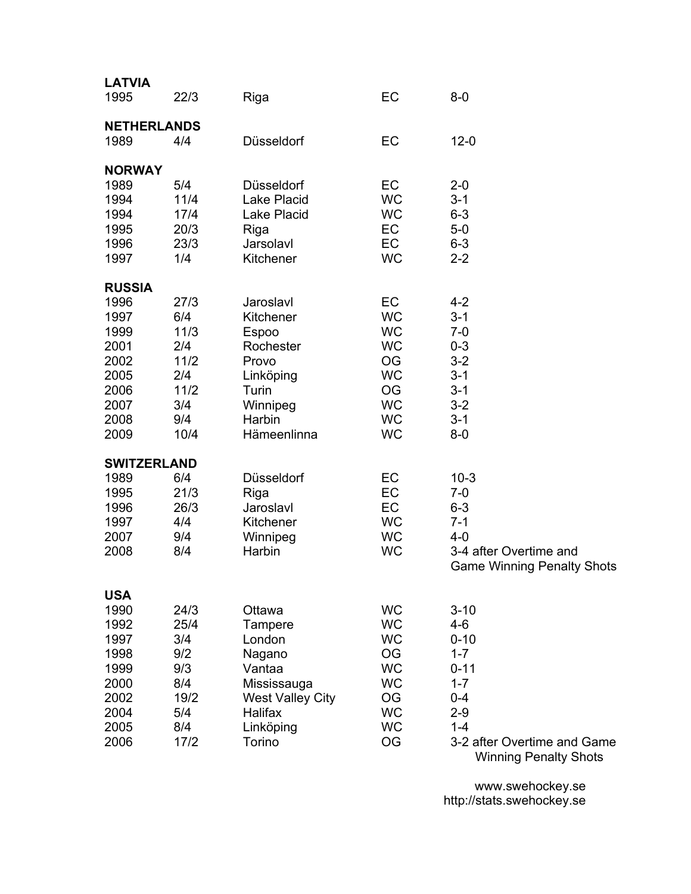| <b>LATVIA</b><br>1995 | 22/3        | Riga                    | EC                     | $8-0$                                                       |  |
|-----------------------|-------------|-------------------------|------------------------|-------------------------------------------------------------|--|
| <b>NETHERLANDS</b>    |             |                         |                        |                                                             |  |
| 1989                  | 4/4         | Düsseldorf              | EC                     | $12 - 0$                                                    |  |
| <b>NORWAY</b>         |             |                         |                        |                                                             |  |
| 1989                  | 5/4         | Düsseldorf              | EC                     | $2 - 0$                                                     |  |
| 1994                  | 11/4        | Lake Placid             | <b>WC</b>              | $3 - 1$                                                     |  |
| 1994                  | 17/4        | <b>Lake Placid</b>      | <b>WC</b>              | $6 - 3$                                                     |  |
| 1995                  | 20/3        | Riga                    | EC                     | $5-0$                                                       |  |
| 1996                  | 23/3        | Jarsolavl               | EC                     | $6 - 3$                                                     |  |
| 1997                  | 1/4         | Kitchener               | <b>WC</b>              | $2 - 2$                                                     |  |
| <b>RUSSIA</b>         |             |                         |                        |                                                             |  |
| 1996                  | 27/3        | Jaroslavl               | EC                     | $4 - 2$                                                     |  |
| 1997                  | 6/4         | Kitchener               | <b>WC</b>              | $3 - 1$                                                     |  |
| 1999                  | 11/3        | Espoo                   | <b>WC</b>              | $7 - 0$                                                     |  |
| 2001<br>2002          | 2/4<br>11/2 | Rochester<br>Provo      | <b>WC</b><br><b>OG</b> | $0 - 3$<br>$3 - 2$                                          |  |
| 2005                  | 2/4         | Linköping               | <b>WC</b>              | $3 - 1$                                                     |  |
| 2006                  | 11/2        | Turin                   | <b>OG</b>              | $3 - 1$                                                     |  |
| 2007                  | 3/4         | Winnipeg                | <b>WC</b>              | $3 - 2$                                                     |  |
| 2008                  | 9/4         | Harbin                  | <b>WC</b>              | $3 - 1$                                                     |  |
| 2009                  | 10/4        | Hämeenlinna             | <b>WC</b>              | $8-0$                                                       |  |
| <b>SWITZERLAND</b>    |             |                         |                        |                                                             |  |
| 1989                  | 6/4         | Düsseldorf              | EC                     | $10-3$                                                      |  |
| 1995                  | 21/3        | Riga                    | EC                     | $7-0$                                                       |  |
| 1996                  | 26/3        | Jaroslavl               | EC                     | $6 - 3$                                                     |  |
| 1997                  | 4/4         | Kitchener               | <b>WC</b>              | $7 - 1$                                                     |  |
| 2007                  | 9/4         | Winnipeg                | <b>WC</b>              | $4 - 0$                                                     |  |
| 2008                  | 8/4         | Harbin                  | <b>WC</b>              | 3-4 after Overtime and<br><b>Game Winning Penalty Shots</b> |  |
| <b>USA</b>            |             |                         |                        |                                                             |  |
| 1990                  | 24/3        | Ottawa                  | <b>WC</b>              | $3 - 10$                                                    |  |
| 1992                  | 25/4        | Tampere                 | <b>WC</b>              | $4 - 6$                                                     |  |
| 1997                  | 3/4         | London                  | <b>WC</b>              | $0 - 10$                                                    |  |
| 1998                  | 9/2         | Nagano                  | OG                     | $1 - 7$                                                     |  |
| 1999                  | 9/3         | Vantaa                  | <b>WC</b>              | $0 - 11$                                                    |  |
| 2000                  | 8/4         | Mississauga             | <b>WC</b>              | $1 - 7$                                                     |  |
| 2002                  | 19/2        | <b>West Valley City</b> | OG                     | $0 - 4$                                                     |  |
| 2004                  | 5/4         | Halifax                 | <b>WC</b>              | $2 - 9$                                                     |  |
| 2005                  | 8/4         | Linköping               | <b>WC</b><br><b>OG</b> | $1 - 4$<br>3-2 after Overtime and Game                      |  |
| 2006                  | 17/2        | Torino                  |                        | <b>Winning Penalty Shots</b>                                |  |

www.swehockey.se http://stats.swehockey.se